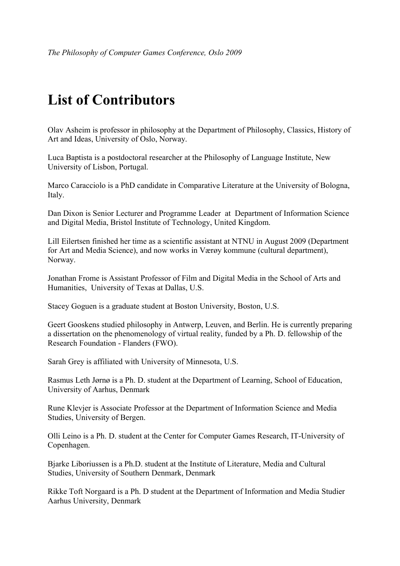## **List of Contributors**

Olav Asheim is professor in philosophy at the Department of Philosophy, Classics, History of Art and Ideas, University of Oslo, Norway.

Luca Baptista is a postdoctoral researcher at the Philosophy of Language Institute, New University of Lisbon, Portugal.

Marco Caracciolo is a PhD candidate in Comparative Literature at the University of Bologna, Italy.

Dan Dixon is Senior Lecturer and Programme Leader at Department of Information Science and Digital Media, Bristol Institute of Technology, United Kingdom.

Lill Eilertsen finished her time as a scientific assistant at NTNU in August 2009 (Department for Art and Media Science), and now works in Værøy kommune (cultural department), Norway.

Jonathan Frome is Assistant Professor of Film and Digital Media in the School of Arts and Humanities, University of Texas at Dallas, U.S.

Stacey Goguen is a graduate student at Boston University, Boston, U.S.

Geert Gooskens studied philosophy in Antwerp, Leuven, and Berlin. He is currently preparing a dissertation on the phenomenology of virtual reality, funded by a Ph. D. fellowship of the Research Foundation - Flanders (FWO).

Sarah Grey is affiliated with University of Minnesota, U.S.

Rasmus Leth Jørnø is a Ph. D. student at the Department of Learning, School of Education, University of Aarhus, Denmark

Rune Klevjer is Associate Professor at the Department of Information Science and Media Studies, University of Bergen.

Olli Leino is a Ph. D. student at the Center for Computer Games Research, IT-University of Copenhagen.

Bjarke Liboriussen is a Ph.D. student at the Institute of Literature, Media and Cultural Studies, University of Southern Denmark, Denmark

Rikke Toft Norgaard is a Ph. D student at the Department of Information and Media Studier Aarhus University, Denmark